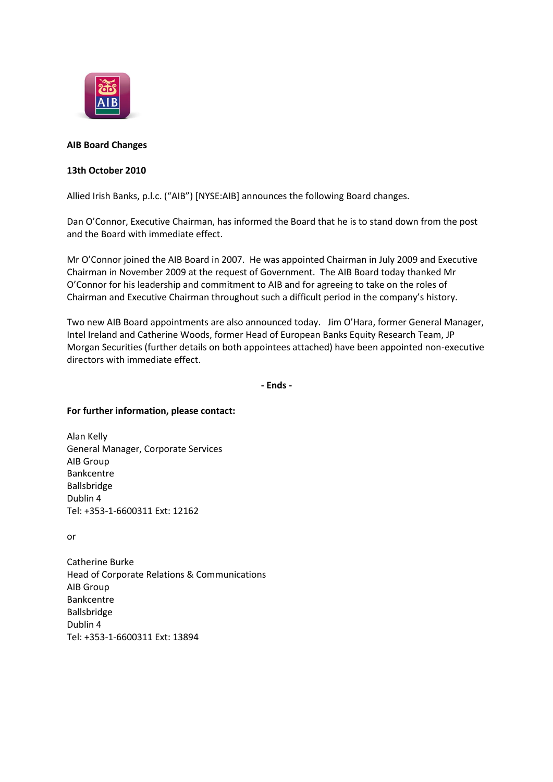

# **AIB Board Changes**

# **13th October 2010**

Allied Irish Banks, p.l.c. ("AIB") [NYSE:AIB] announces the following Board changes.

Dan O'Connor, Executive Chairman, has informed the Board that he is to stand down from the post and the Board with immediate effect.

Mr O'Connor joined the AIB Board in 2007. He was appointed Chairman in July 2009 and Executive Chairman in November 2009 at the request of Government. The AIB Board today thanked Mr O'Connor for his leadership and commitment to AIB and for agreeing to take on the roles of Chairman and Executive Chairman throughout such a difficult period in the company's history.

Two new AIB Board appointments are also announced today. Jim O'Hara, former General Manager, Intel Ireland and Catherine Woods, former Head of European Banks Equity Research Team, JP Morgan Securities (further details on both appointees attached) have been appointed non-executive directors with immediate effect.

**- Ends -**

# **For further information, please contact:**

Alan Kelly General Manager, Corporate Services AIB Group Bankcentre Ballsbridge Dublin 4 Tel: +353-1-6600311 Ext: 12162

or

Catherine Burke Head of Corporate Relations & Communications AIB Group Bankcentre Ballsbridge Dublin 4 Tel: +353-1-6600311 Ext: 13894